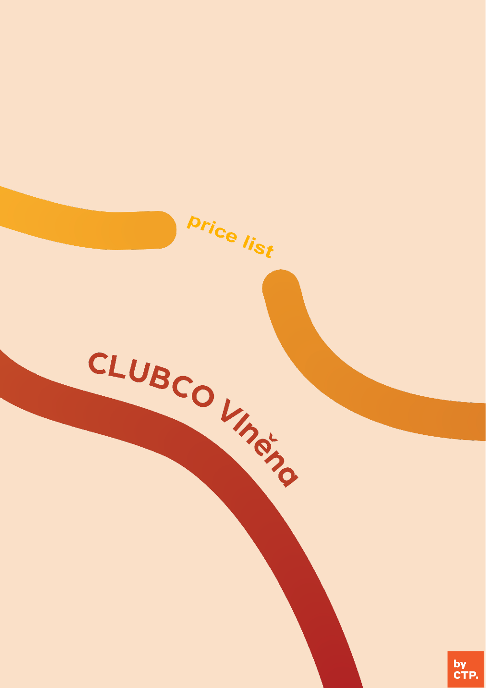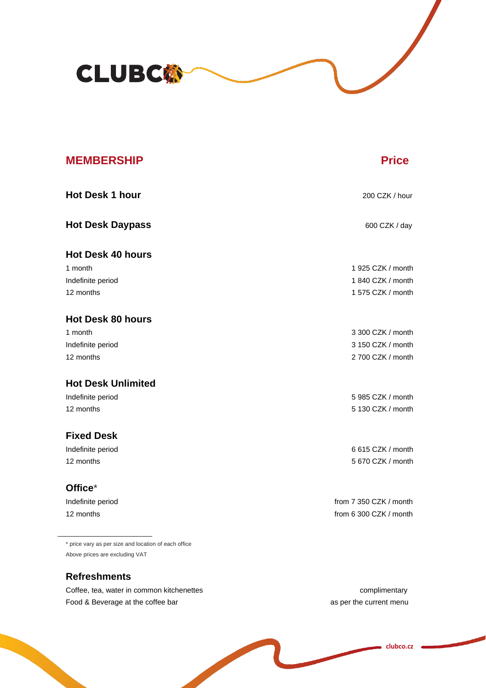

| <b>MEMBERSHIP</b>         | <b>Price</b>           |
|---------------------------|------------------------|
| <b>Hot Desk 1 hour</b>    | 200 CZK / hour         |
| <b>Hot Desk Daypass</b>   | 600 CZK / day          |
| <b>Hot Desk 40 hours</b>  |                        |
| 1 month                   | 1 925 CZK / month      |
| Indefinite period         | 1 840 CZK / month      |
| 12 months                 | 1 575 CZK / month      |
| <b>Hot Desk 80 hours</b>  |                        |
| 1 month                   | 3 300 CZK / month      |
| Indefinite period         | 3 150 CZK / month      |
| 12 months                 | 2 700 CZK / month      |
| <b>Hot Desk Unlimited</b> |                        |
| Indefinite period         | 5 985 CZK / month      |
| 12 months                 | 5 130 CZK / month      |
| <b>Fixed Desk</b>         |                        |
| Indefinite period         | 6 615 CZK / month      |
| 12 months                 | 5 670 CZK / month      |
| Office*                   |                        |
| Indefinite period         | from 7 350 CZK / month |
| 12 months                 | from 6 300 CZK / month |
|                           |                        |

\* price vary as per size and location of each office Above prices are excluding VAT

## **Refreshments**

Coffee, tea, water in common kitchenettes complimentary complimentary Food & Beverage at the coffee bar as per the current menu

**clubco.cz**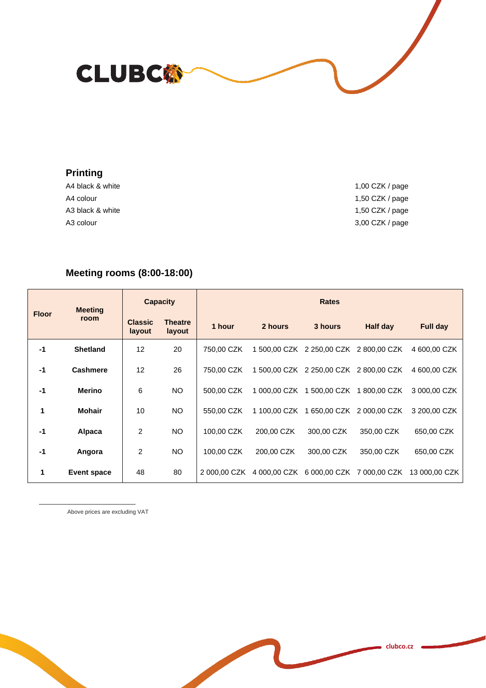**CLUBC@** 

## **Printing**

A4 colour 1,50 CZK / page A3 black & white 1,50 CZK / page A3 colour 3,00 CZK / page

A4 black & white 1,00 CZK / page

## **Meeting rooms (8:00-18:00)**

| <b>Floor</b>         | <b>Meeting</b><br>room | <b>Capacity</b>          |                          | <b>Rates</b> |              |                                        |                                        |                 |
|----------------------|------------------------|--------------------------|--------------------------|--------------|--------------|----------------------------------------|----------------------------------------|-----------------|
|                      |                        | <b>Classic</b><br>layout | <b>Theatre</b><br>layout | 1 hour       | 2 hours      | 3 hours                                | Half day                               | <b>Full day</b> |
| $-1$                 | <b>Shetland</b>        | 12                       | 20                       | 750,00 CZK   |              | 1 500,00 CZK 2 250,00 CZK 2 800,00 CZK |                                        | 4 600,00 CZK    |
| $-1$                 | <b>Cashmere</b>        | 12                       | 26                       | 750,00 CZK   |              | 1 500,00 CZK 2 250,00 CZK 2 800,00 CZK |                                        | 4 600,00 CZK    |
| $-1$                 | <b>Merino</b>          | 6                        | <b>NO</b>                | 500,00 CZK   | 1 000,00 CZK | 500,00 CZK                             | 1800,00 CZK                            | 3 000,00 CZK    |
| 1                    | <b>Mohair</b>          | 10                       | <b>NO</b>                | 550.00 CZK   | 1 100,00 CZK | 650,00 CZK<br>1                        | 2 000,00 CZK                           | 3 200,00 CZK    |
| $-1$                 | Alpaca                 | 2                        | <b>NO</b>                | 100,00 CZK   | 200.00 CZK   | 300,00 CZK                             | 350,00 CZK                             | 650,00 CZK      |
| $-1$                 | Angora                 | 2                        | <b>NO</b>                | 100,00 CZK   | 200,00 CZK   | 300,00 CZK                             | 350,00 CZK                             | 650,00 CZK      |
| $\blacktriangleleft$ | <b>Event space</b>     | 48                       | 80                       | 2 000,00 CZK |              |                                        | 4 000,00 CZK 6 000,00 CZK 7 000,00 CZK | 13 000.00 CZK   |

Above prices are excluding VAT